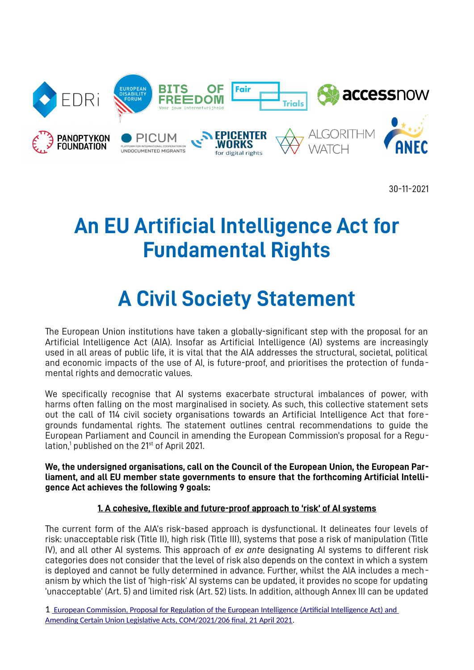

30-11-2021

# **An EU Artificial Intelligence Act for Fundamental Rights**

# **A Civil Society Statement**

The European Union institutions have taken a globally-significant step with the proposal for an Artificial Intelligence Act (AIA). Insofar as Artificial Intelligence (AI) systems are increasingly used in all areas of public life, it is vital that the AIA addresses the structural, societal, political and economic impacts of the use of AI, is future-proof, and prioritises the protection of fundamental rights and democratic values.

We specifically recognise that AI systems exacerbate structural imbalances of power, with harms often falling on the most marginalised in society. As such, this collective statement sets out the call of 114 civil society organisations towards an Artificial Intelligence Act that foregrounds fundamental rights. The statement outlines central recommendations to guide the European Parliament and Council in amending the European Commission's proposal for a Regu-lation,<sup>[1](#page-0-1)</sup> published on the 21<sup>st</sup> of April 2021.

<span id="page-0-0"></span>**We, the undersigned organisations, call on the Council of the European Union, the European Parliament, and all EU member state governments to ensure that the forthcoming Artificial Intelligence Act achieves the following 9 goals:**

## **1. A cohesive, flexible and future-proof approach to 'risk' of AI systems**

The current form of the AIA's risk-based approach is dysfunctional. It delineates four levels of risk: unacceptable risk (Title II), high risk (Title III), systems that pose a risk of manipulation (Title IV), and all other AI systems. This approach of *ex ant*e designating AI systems to different risk categories does not consider that the level of risk also depends on the context in which a system is deployed and cannot be fully determined in advance. Further, whilst the AIA includes a mechanism by which the list of 'high-risk' AI systems can be updated, it provides no scope for updating 'unacceptable' (Art. 5) and limited risk (Art. 52) lists. In addition, although Annex III can be updated

<span id="page-0-1"></span>[<sup>1</sup>](#page-0-0) [European Commission, Proposal for Regulation of the European Intelligence \(Artificial Intelligence Act\) and](https://eur-lex.europa.eu/legal-content/EN/TXT/?uri=CELEX%3A52021PC0206)   [Amending Certain Union Legislative Acts, COM/2021/206 final, 21 April 2021](https://eur-lex.europa.eu/legal-content/EN/TXT/?uri=CELEX%3A52021PC0206).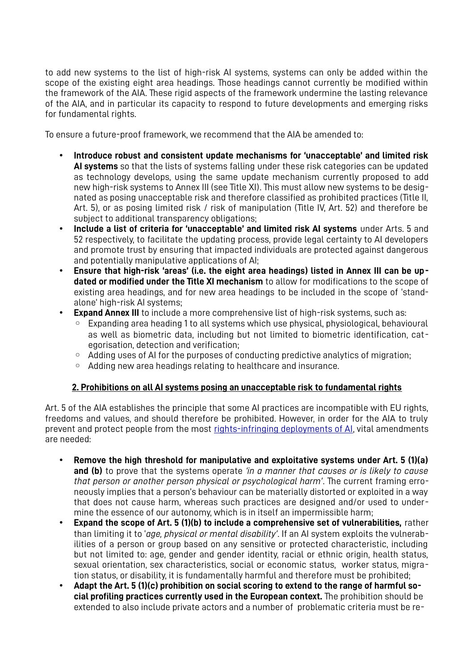to add new systems to the list of high-risk AI systems, systems can only be added within the scope of the existing eight area headings. Those headings cannot currently be modified within the framework of the AIA. These rigid aspects of the framework undermine the lasting relevance of the AIA, and in particular its capacity to respond to future developments and emerging risks for fundamental rights.

To ensure a future-proof framework, we recommend that the AIA be amended to:

- **Introduce robust and consistent update mechanisms for 'unacceptable' and limited risk AI systems** so that the lists of systems falling under these risk categories can be updated as technology develops, using the same update mechanism currently proposed to add new high-risk systems to Annex III (see Title XI). This must allow new systems to be designated as posing unacceptable risk and therefore classified as prohibited practices (Title II, Art. 5), or as posing limited risk / risk of manipulation (Title IV, Art. 52) and therefore be subject to additional transparency obligations;
- **Include a list of criteria for 'unacceptable' and limited risk AI systems** under Arts. 5 and 52 respectively, to facilitate the updating process, provide legal certainty to AI developers and promote trust by ensuring that impacted individuals are protected against dangerous and potentially manipulative applications of AI;
- **Ensure that high-risk 'areas' (i.e. the eight area headings) listed in Annex III can be updated or modified under the Title XI mechanism** to allow for modifications to the scope of existing area headings, and for new area headings to be included in the scope of 'standalone' high-risk AI systems;
- **Expand Annex III** to include a more comprehensive list of high-risk systems, such as:
	- Expanding area heading 1 to all systems which use physical, physiological, behavioural as well as biometric data, including but not limited to biometric identification, categorisation, detection and verification;
	- Adding uses of AI for the purposes of conducting predictive analytics of migration;
	- Adding new area headings relating to healthcare and insurance.

#### **2. Prohibitions on all AI systems posing an unacceptable risk to fundamental rights**

Art. 5 of the AIA establishes the principle that some AI practices are incompatible with EU rights, freedoms and values, and should therefore be prohibited. However, in order for the AIA to truly prevent and protect people from the most [rights-infringing deployments of AI](https://edri.org/our-work/civil-society-call-for-ai-red-lines-in-the-european-unions-artificial-intelligence-proposal/), vital amendments are needed:

- **Remove the high threshold for manipulative and exploitative systems under Art. 5 (1)(a) and (b)** to prove that the systems operate *'in a manner that causes or is likely to cause that person or another person physical or psychological harm'*. The current framing erroneously implies that a person's behaviour can be materially distorted or exploited in a way that does not cause harm, whereas such practices are designed and/or used to undermine the essence of our autonomy, which is in itself an impermissible harm;
- **Expand the scope of Art. 5 (1)(b) to include a comprehensive set of vulnerabilities,** rather than limiting it to '*age, physical or mental disability'*. If an AI system exploits the vulnerabilities of a person or group based on any sensitive or protected characteristic, including but not limited to: age, gender and gender identity, racial or ethnic origin, health status, sexual orientation, sex characteristics, social or economic status, worker status, migration status, or disability, it is fundamentally harmful and therefore must be prohibited;
- **Adapt the Art. 5 (1)(c) prohibition on social scoring to extend to the range of harmful social profiling practices currently used in the European context.** The prohibition should be extended to also include private actors and a number of problematic criteria must be re-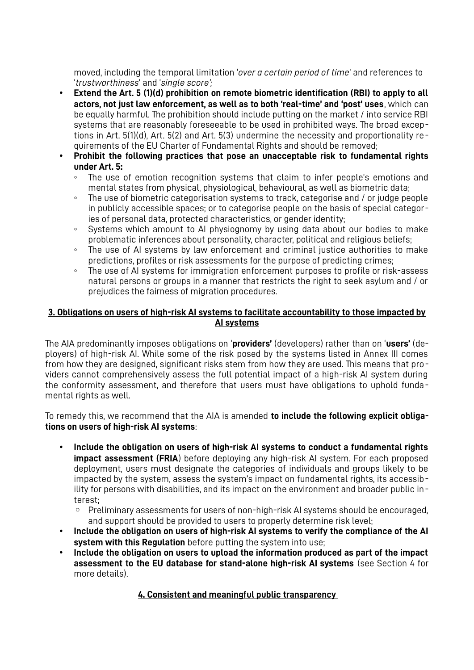moved, including the temporal limitation '*over a certain period of time*' and references to '*trustworthiness*' and '*single score';*

- **Extend the Art. 5 (1)(d) prohibition on remote biometric identification (RBI) to apply to all actors, not just law enforcement, as well as to both 'real-time' and 'post' uses**, which can be equally harmful. The prohibition should include putting on the market / into service RBI systems that are reasonably foreseeable to be used in prohibited ways. The broad exceptions in Art. 5(1)(d), Art. 5(2) and Art. 5(3) undermine the necessity and proportionality requirements of the EU Charter of Fundamental Rights and should be removed;
- **Prohibit the following practices that pose an unacceptable risk to fundamental rights under Art. 5:**
	- The use of emotion recognition systems that claim to infer people's emotions and mental states from physical, physiological, behavioural, as well as biometric data;
	- The use of biometric categorisation systems to track, categorise and / or judge people in publicly accessible spaces; or to categorise people on the basis of special categories of personal data, protected characteristics, or gender identity;
	- Systems which amount to AI physiognomy by using data about our bodies to make problematic inferences about personality, character, political and religious beliefs;
	- The use of AI systems by law enforcement and criminal justice authorities to make predictions, profiles or risk assessments for the purpose of predicting crimes;
	- The use of AI systems for immigration enforcement purposes to profile or risk-assess natural persons or groups in a manner that restricts the right to seek asylum and / or prejudices the fairness of migration procedures.

#### **3. Obligations on users of high-risk AI systems to facilitate accountability to those impacted by AI systems**

The AIA predominantly imposes obligations on '**providers'** (developers) rather than on '**users'** (deployers) of high-risk AI. While some of the risk posed by the systems listed in Annex III comes from how they are designed, significant risks stem from how they are used. This means that providers cannot comprehensively assess the full potential impact of a high-risk AI system during the conformity assessment, and therefore that users must have obligations to uphold fundamental rights as well.

To remedy this, we recommend that the AIA is amended **to include the following explicit obligations on users of high-risk AI systems**:

- **Include the obligation on users of high-risk AI systems to conduct a fundamental rights impact assessment (FRIA**) before deploying any high-risk AI system. For each proposed deployment, users must designate the categories of individuals and groups likely to be impacted by the system, assess the system's impact on fundamental rights, its accessibility for persons with disabilities, and its impact on the environment and broader public interest;
	- Preliminary assessments for users of non-high-risk AI systems should be encouraged, and support should be provided to users to properly determine risk level;
- **Include the obligation on users of high-risk AI systems to verify the compliance of the AI system with this Regulation** before putting the system into use;
- **Include the obligation on users to upload the information produced as part of the impact assessment to the EU database for stand-alone high-risk AI systems** (see Section 4 for more details).

## **4. Consistent and meaningful public transparency**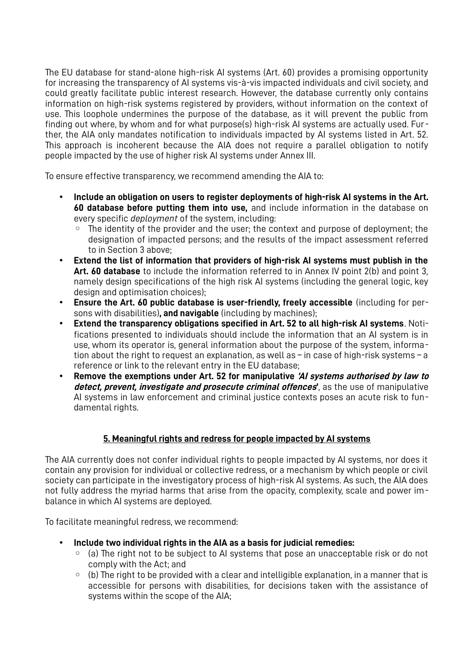The EU database for stand-alone high-risk AI systems (Art. 60) provides a promising opportunity for increasing the transparency of AI systems vis-à-vis impacted individuals and civil society, and could greatly facilitate public interest research. However, the database currently only contains information on high-risk systems registered by providers, without information on the context of use. This loophole undermines the purpose of the database, as it will prevent the public from finding out where, by whom and for what purpose(s) high-risk AI systems are actually used. Further, the AIA only mandates notification to individuals impacted by AI systems listed in Art. 52. This approach is incoherent because the AIA does not require a parallel obligation to notify people impacted by the use of higher risk AI systems under Annex III.

To ensure effective transparency, we recommend amending the AIA to:

- **Include an obligation on users to register deployments of high-risk AI systems in the Art. 60 database before putting them into use,** and include information in the database on every specific *deployment* of the system, including:
	- The identity of the provider and the user; the context and purpose of deployment; the designation of impacted persons; and the results of the impact assessment referred to in Section 3 above;
- **Extend the list of information that providers of high-risk AI systems must publish in the Art. 60 database** to include the information referred to in Annex IV point 2(b) and point 3, namely design specifications of the high risk AI systems (including the general logic, key design and optimisation choices):
- **Ensure the Art. 60 public database is user-friendly, freely accessible** (including for persons with disabilities)**, and navigable** (including by machines);
- **Extend the transparency obligations specified in Art. 52 to all high-risk AI systems**. Notifications presented to individuals should include the information that an AI system is in use, whom its operator is, general information about the purpose of the system, information about the right to request an explanation, as well as – in case of high-risk systems – a reference or link to the relevant entry in the EU database;
- **Remove the exemptions under Art. 52 for manipulative 'AI systems authorised by law to detect, prevent, investigate and prosecute criminal offences'**, as the use of manipulative AI systems in law enforcement and criminal justice contexts poses an acute risk to fundamental rights.

## **5. Meaningful rights and redress for people impacted by AI systems**

The AIA currently does not confer individual rights to people impacted by AI systems, nor does it contain any provision for individual or collective redress, or a mechanism by which people or civil society can participate in the investigatory process of high-risk AI systems. As such, the AIA does not fully address the myriad harms that arise from the opacity, complexity, scale and power imbalance in which AI systems are deployed.

To facilitate meaningful redress, we recommend:

- **Include two individual rights in the AIA as a basis for judicial remedies:**
	- (a) The right not to be subject to AI systems that pose an unacceptable risk or do not comply with the Act; and
	- $\circ$  (b) The right to be provided with a clear and intelligible explanation, in a manner that is accessible for persons with disabilities, for decisions taken with the assistance of systems within the scope of the AIA;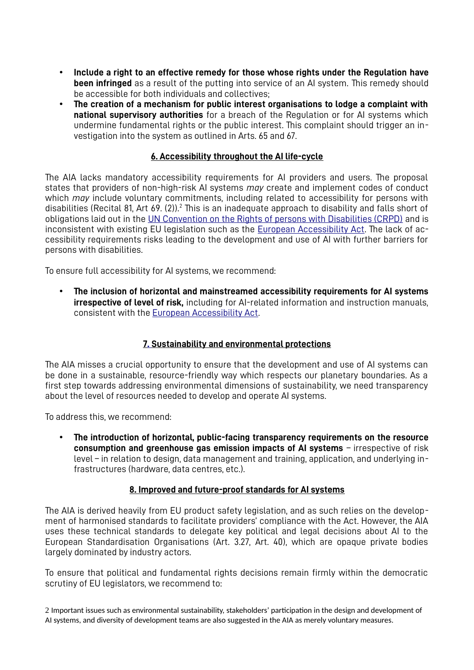- **Include a right to an effective remedy for those whose rights under the Regulation have been infringed** as a result of the putting into service of an AI system. This remedy should be accessible for both individuals and collectives;
- **The creation of a mechanism for public interest organisations to lodge a complaint with national supervisory authorities** for a breach of the Regulation or for AI systems which undermine fundamental rights or the public interest. This complaint should trigger an investigation into the system as outlined in Arts. 65 and 67.

#### <span id="page-4-0"></span>**6. Accessibility throughout the AI life-cycle**

The AIA lacks mandatory accessibility requirements for AI providers and users. The proposal states that providers of non-high-risk AI systems *may* create and implement codes of conduct which *may* include voluntary commitments, including related to accessibility for persons with disabilities (Recital 81, Art 69. ([2](#page-4-1))).<sup>2</sup> This is an inadequate approach to disability and falls short of obligations laid out in the [UN Convention on the Rights of persons with Disabilities \(CRPD\)](https://www.un.org/development/desa/disabilities/convention-on-the-rights-of-persons-with-disabilities/article-9-accessibility.html) and is inconsistent with existing EU legislation such as the [European Accessibility Act](https://eur-lex.europa.eu/legal-content/EN/TXT/?uri=CELEX%3A32019L0882). The lack of accessibility requirements risks leading to the development and use of AI with further barriers for persons with disabilities.

To ensure full accessibility for AI systems, we recommend:

• **The inclusion of horizontal and mainstreamed accessibility requirements for AI systems irrespective of level of risk,** including for AI-related information and instruction manuals, consistent with the European Accessibility Act.

## **[7 .](https://eur-lex.europa.eu/legal-content/EN/TXT/?uri=CELEX%3A32019L0882) Sustainability and environmental protections**

The AIA misses a crucial opportunity to ensure that the development and use of AI systems can be done in a sustainable, resource-friendly way which respects our planetary boundaries. As a first step towards addressing environmental dimensions of sustainability, we need transparency about the level of resources needed to develop and operate AI systems.

To address this, we recommend:

• **The introduction of horizontal, public-facing transparency requirements on the resource consumption and greenhouse gas emission impacts of AI systems** - irrespective of risk level – in relation to design, data management and training, application, and underlying infrastructures (hardware, data centres, etc.).

#### **8. Improved and future-proof standards for AI systems**

The AIA is derived heavily from EU product safety legislation, and as such relies on the development of harmonised standards to facilitate providers' compliance with the Act. However, the AIA uses these technical standards to delegate key political and legal decisions about AI to the European Standardisation Organisations (Art. 3.27, Art. 40), which are opaque private bodies largely dominated by industry actors.

To ensure that political and fundamental rights decisions remain firmly within the democratic scrutiny of EU legislators, we recommend to:

<span id="page-4-1"></span>[2](#page-4-0) Important issues such as environmental sustainability, stakeholders' participation in the design and development of AI systems, and diversity of development teams are also suggested in the AIA as merely voluntary measures.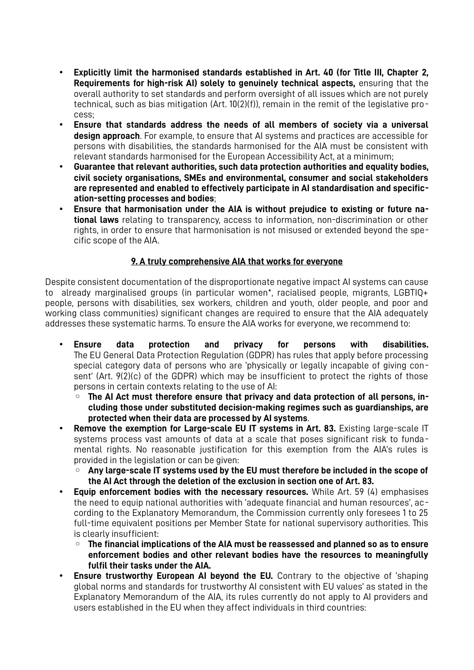- **Explicitly limit the harmonised standards established in Art. 40 (for Title III, Chapter 2, Requirements for high-risk AI) solely to genuinely technical aspects,** ensuring that the overall authority to set standards and perform oversight of all issues which are not purely technical, such as bias mitigation (Art. 10(2)(f)), remain in the remit of the legislative process;
- **Ensure that standards address the needs of all members of society via a universal design approach**. For example, to ensure that AI systems and practices are accessible for persons with disabilities, the standards harmonised for the AIA must be consistent with relevant standards harmonised for the European Accessibility Act, at a minimum;
- **Guarantee that relevant authorities, such data protection authorities and equality bodies, civil society organisations, SMEs and environmental, consumer and social stakeholders are represented and enabled to effectively participate in AI standardisation and specification-setting processes and bodies**;
- **Ensure that harmonisation under the AIA is without prejudice to existing or future national laws** relating to transparency, access to information, non-discrimination or other rights, in order to ensure that harmonisation is not misused or extended beyond the specific scope of the AIA.

### **9. A truly comprehensive AIA that works for everyone**

Despite consistent documentation of the disproportionate negative impact AI systems can cause to already marginalised groups (in particular women\*, racialised people, migrants, LGBTIQ+ people, persons with disabilities, sex workers, children and youth, older people, and poor and working class communities) significant changes are required to ensure that the AIA adequately addresses these systematic harms. To ensure the AIA works for everyone, we recommend to:

- **Ensure data protection and privacy for persons with disabilities.** The EU General Data Protection Regulation (GDPR) has rules that apply before processing special category data of persons who are 'physically or legally incapable of giving consent' (Art. 9(2)(c) of the GDPR) which may be insufficient to protect the rights of those persons in certain contexts relating to the use of AI:
	- **The AI Act must therefore ensure that privacy and data protection of all persons, including those under substituted decision-making regimes such as guardianships, are protected when their data are processed by AI systems**.
- **Remove the exemption for Large-scale EU IT systems in Art. 83.** Existing large-scale IT systems process vast amounts of data at a scale that poses significant risk to fundamental rights. No reasonable justification for this exemption from the AIA's rules is provided in the legislation or can be given:
	- **Any large-scale IT systems used by the EU must therefore be included in the scope of the AI Act through the deletion of the exclusion in section one of Art. 83.**
- **Equip enforcement bodies with the necessary resources.** While Art. 59 (4) emphasises the need to equip national authorities with 'adequate financial and human resources', according to the Explanatory Memorandum, the Commission currently only foresees 1 to 25 full-time equivalent positions per Member State for national supervisory authorities. This is clearly insufficient:
	- **The financial implications of the AIA must be reassessed and planned so as to ensure enforcement bodies and other relevant bodies have the resources to meaningfully fulfil their tasks under the AIA.**
- **Ensure trustworthy European AI beyond the EU.** Contrary to the objective of 'shaping global norms and standards for trustworthy AI consistent with EU values' as stated in the Explanatory Memorandum of the AIA, its rules currently do not apply to AI providers and users established in the EU when they affect individuals in third countries: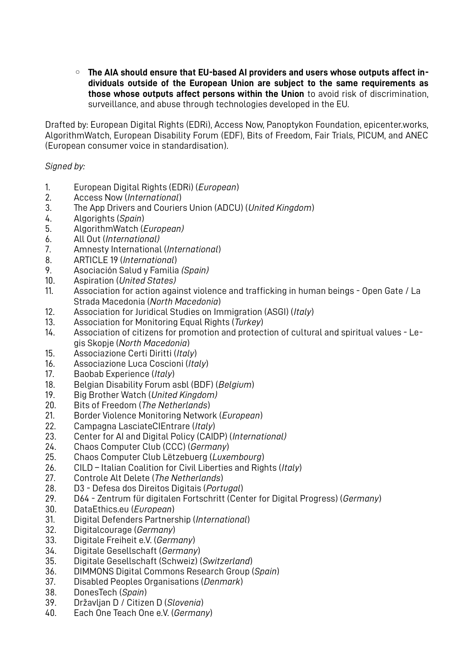◦ **The AIA should ensure that EU-based AI providers and users whose outputs affect individuals outside of the European Union are subject to the same requirements as those whose outputs affect persons within the Union** to avoid risk of discrimination, surveillance, and abuse through technologies developed in the EU.

Drafted by: European Digital Rights (EDRi), Access Now, Panoptykon Foundation, epicenter.works, AlgorithmWatch, European Disability Forum (EDF), Bits of Freedom, Fair Trials, PICUM, and ANEC (European consumer voice in standardisation).

*Signed by:* 

- 1. European Digital Rights (EDRi) (*European*)
- 2. Access Now (*International*)
- 3. The App Drivers and Couriers Union (ADCU) (*United Kingdom*)
- 4. Algorights (*Spain*)
- 5. AlgorithmWatch (*European)*
- 6. All Out (*International)*
- 7. Amnesty International (*International*)
- 8. ARTICLE 19 (*International*)
- 9. Asociación Salud y Familia *(Spain)*
- 10. Aspiration (*United States)*
- 11. Association for action against violence and trafficking in human beings Open Gate / La Strada Macedonia (*North Macedonia*)
- 12. Association for Juridical Studies on Immigration (ASGI) (*Italy*)
- 13. Association for Monitoring Equal Rights (*Turkey*)
- 14. Association of citizens for promotion and protection of cultural and spiritual values Legis Skopje (*North Macedonia*)
- 15. Associazione Certi Diritti (*Italy*)
- 16. Associazione Luca Coscioni (*Italy*)
- 17. Baobab Experience (*Italy*)
- 18. Belgian Disability Forum asbl (BDF) (*Belgium*)
- 19. Big Brother Watch (*United Kingdom)*
- 20. Bits of Freedom (*The Netherlands*)
- 21. Border Violence Monitoring Network (*European*)
- 22. Campagna LasciateCIEntrare (*Italy*)
- 23. Center for AI and Digital Policy (CAIDP) (*International)*
- 24. Chaos Computer Club (CCC) (*Germany*)
- 25. Chaos Computer Club Lëtzebuerg (*Luxembourg*)
- 26. CILD Italian Coalition for Civil Liberties and Rights (*Italy*)
- 27. Controle Alt Delete (*The Netherlands*)
- 28. D3 Defesa dos Direitos Digitais (*Portugal*)
- 29. D64 Zentrum für digitalen Fortschritt (Center for Digital Progress) (*Germany*)
- 30. DataEthics.eu (*European*)
- 31. Digital Defenders Partnership (*International*)
- 32. Digitalcourage (*Germany*)
- 33. Digitale Freiheit e.V. (*Germany*)
- 34. Digitale Gesellschaft (*Germany*)
- 35. Digitale Gesellschaft (Schweiz) (*Switzerland*)
- 36. DIMMONS Digital Commons Research Group (*Spain*)
- 37. Disabled Peoples Organisations (*Denmark*)
- 38. DonesTech (*Spain*)
- 39. Državljan D / Citizen D (*Slovenia*)
- 40. Each One Teach One e.V. (*Germany*)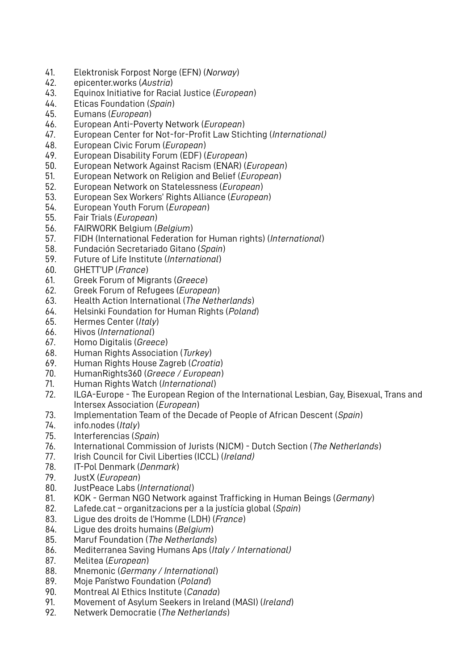- 41. Elektronisk Forpost Norge (EFN) (*Norway*)
- 42. epicenter.works (*Austria*)
- 43. Equinox Initiative for Racial Justice (*European*)
- 44. Eticas Foundation (*Spain*)
- 45. Eumans (*European*)
- 46. European Anti-Poverty Network (*European*)
- 47. European Center for Not-for-Profit Law Stichting (*International)*
- 48. European Civic Forum (*European*)
- 49. European Disability Forum (EDF) (*European*)
- 50. European Network Against Racism (ENAR) (*European*)
- 51. European Network on Religion and Belief (*European*)
- 52. European Network on Statelessness (*European*)
- 53. European Sex Workers' Rights Alliance (*European*)
- 54. European Youth Forum (*European*)
- 55. Fair Trials (*European*)
- 56. FAIRWORK Belgium (*Belgium*)
- 57. FIDH (International Federation for Human rights) (*International*)
- 58. Fundación Secretariado Gitano (*Spain*)
- 59. Future of Life Institute (*International*)
- 60. GHETT'UP (*France*)
- 61. Greek Forum of Migrants (*Greece*)
- 62. Greek Forum of Refugees (*European*)
- 63. Health Action International (*The Netherlands*)
- 64. Helsinki Foundation for Human Rights (*Poland*)
- 65. Hermes Center (*Italy*)
- 66. Hivos (*International*)
- 67. Homo Digitalis (*Greece*)
- 68. Human Rights Association (*Turkey*)
- 69. Human Rights House Zagreb (*Croatia*)
- 70. HumanRights360 (*Greece / European*)
- 71. Human Rights Watch (*International*)
- 72. ILGA-Europe The European Region of the International Lesbian, Gay, Bisexual, Trans and Intersex Association (*European*)
- 73. Implementation Team of the Decade of People of African Descent (*Spain*)
- 74. info.nodes (*Italy*)
- 75. Interferencias (*Spain*)
- 76. International Commission of Jurists (NJCM) Dutch Section (*The Netherlands*)
- 77. Irish Council for Civil Liberties (ICCL) (*Ireland)*
- 78. IT-Pol Denmark (*Denmark*)
- 79. JustX (*European*)
- 80. JustPeace Labs (*International*)
- 81. KOK German NGO Network against Trafficking in Human Beings (*Germany*)
- 82. Lafede.cat organitzacions per a la justícia global (*Spain*)
- 83. Ligue des droits de l'Homme (LDH) (*France*)
- 84. Ligue des droits humains (*Belgium*)
- 85. Maruf Foundation (*The Netherlands*)
- 86. Mediterranea Saving Humans Aps (*Italy / International)*
- 87. Melitea (*European*)
- 88. Mnemonic (*Germany / International*)
- 89. Moje Państwo Foundation (*Poland*)
- 90. Montreal AI Ethics Institute (*Canada*)
- 91. Movement of Asylum Seekers in Ireland (MASI) (*Ireland*)
- 92. Netwerk Democratie (*The Netherlands*)